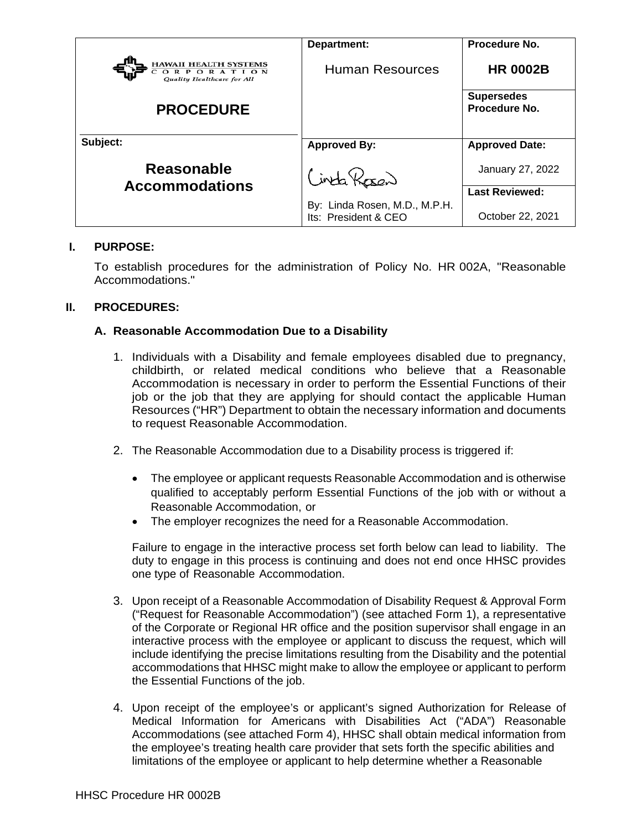|                                                                               | Department:                                           | Procedure No.                      |
|-------------------------------------------------------------------------------|-------------------------------------------------------|------------------------------------|
| <b>HAWAII HEALTH SYSTEMS</b><br>ORPORATI<br>O N<br>Quality Healthcare for All | <b>Human Resources</b>                                | <b>HR 0002B</b>                    |
| <b>PROCEDURE</b>                                                              |                                                       | <b>Supersedes</b><br>Procedure No. |
| Subject:                                                                      | <b>Approved By:</b>                                   | <b>Approved Date:</b>              |
| <b>Reasonable</b><br><b>Accommodations</b>                                    | inta Rosen                                            | January 27, 2022                   |
|                                                                               |                                                       | <b>Last Reviewed:</b>              |
|                                                                               | By: Linda Rosen, M.D., M.P.H.<br>Its: President & CEO | October 22, 2021                   |

#### **I. PURPOSE:**

To establish procedures for the administration of Policy No. HR 002A, "Reasonable Accommodations."

#### **II. PROCEDURES:**

#### **A. Reasonable Accommodation Due to a Disability**

- 1. Individuals with a Disability and female employees disabled due to pregnancy, childbirth, or related medical conditions who believe that a Reasonable Accommodation is necessary in order to perform the Essential Functions of their job or the job that they are applying for should contact the applicable Human Resources ("HR") Department to obtain the necessary information and documents to request Reasonable Accommodation.
- 2. The Reasonable Accommodation due to a Disability process is triggered if:
	- The employee or applicant requests Reasonable Accommodation and is otherwise qualified to acceptably perform Essential Functions of the job with or without a Reasonable Accommodation, or
	- The employer recognizes the need for a Reasonable Accommodation.

Failure to engage in the interactive process set forth below can lead to liability. The duty to engage in this process is continuing and does not end once HHSC provides one type of Reasonable Accommodation.

- 3. Upon receipt of a Reasonable Accommodation of Disability Request & Approval Form ("Request for Reasonable Accommodation") (see attached Form 1), a representative of the Corporate or Regional HR office and the position supervisor shall engage in an interactive process with the employee or applicant to discuss the request, which will include identifying the precise limitations resulting from the Disability and the potential accommodations that HHSC might make to allow the employee or applicant to perform the Essential Functions of the job.
- 4. Upon receipt of the employee's or applicant's signed Authorization for Release of Medical Information for Americans with Disabilities Act ("ADA") Reasonable Accommodations (see attached Form 4), HHSC shall obtain medical information from the employee's treating health care provider that sets forth the specific abilities and limitations of the employee or applicant to help determine whether a Reasonable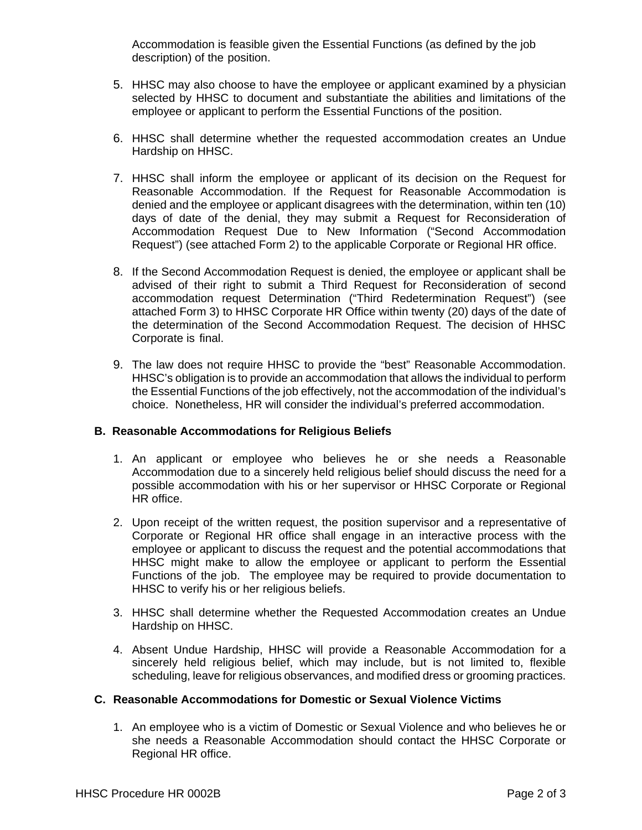Accommodation is feasible given the Essential Functions (as defined by the job description) of the position.

- 5. HHSC may also choose to have the employee or applicant examined by a physician selected by HHSC to document and substantiate the abilities and limitations of the employee or applicant to perform the Essential Functions of the position.
- 6. HHSC shall determine whether the requested accommodation creates an Undue Hardship on HHSC.
- 7. HHSC shall inform the employee or applicant of its decision on the Request for Reasonable Accommodation. If the Request for Reasonable Accommodation is denied and the employee or applicant disagrees with the determination, within ten (10) days of date of the denial, they may submit a Request for Reconsideration of Accommodation Request Due to New Information ("Second Accommodation Request") (see attached Form 2) to the applicable Corporate or Regional HR office.
- 8. If the Second Accommodation Request is denied, the employee or applicant shall be advised of their right to submit a Third Request for Reconsideration of second accommodation request Determination ("Third Redetermination Request") (see attached Form 3) to HHSC Corporate HR Office within twenty (20) days of the date of the determination of the Second Accommodation Request. The decision of HHSC Corporate is final.
- 9. The law does not require HHSC to provide the "best" Reasonable Accommodation. HHSC's obligation is to provide an accommodation that allows the individual to perform the Essential Functions of the job effectively, not the accommodation of the individual's choice. Nonetheless, HR will consider the individual's preferred accommodation.

#### **B. Reasonable Accommodations for Religious Beliefs**

- 1. An applicant or employee who believes he or she needs a Reasonable Accommodation due to a sincerely held religious belief should discuss the need for a possible accommodation with his or her supervisor or HHSC Corporate or Regional HR office.
- 2. Upon receipt of the written request, the position supervisor and a representative of Corporate or Regional HR office shall engage in an interactive process with the employee or applicant to discuss the request and the potential accommodations that HHSC might make to allow the employee or applicant to perform the Essential Functions of the job. The employee may be required to provide documentation to HHSC to verify his or her religious beliefs.
- 3. HHSC shall determine whether the Requested Accommodation creates an Undue Hardship on HHSC.
- 4. Absent Undue Hardship, HHSC will provide a Reasonable Accommodation for a sincerely held religious belief, which may include, but is not limited to, flexible scheduling, leave for religious observances, and modified dress or grooming practices.

### **C. Reasonable Accommodations for Domestic or Sexual Violence Victims**

1. An employee who is a victim of Domestic or Sexual Violence and who believes he or she needs a Reasonable Accommodation should contact the HHSC Corporate or Regional HR office.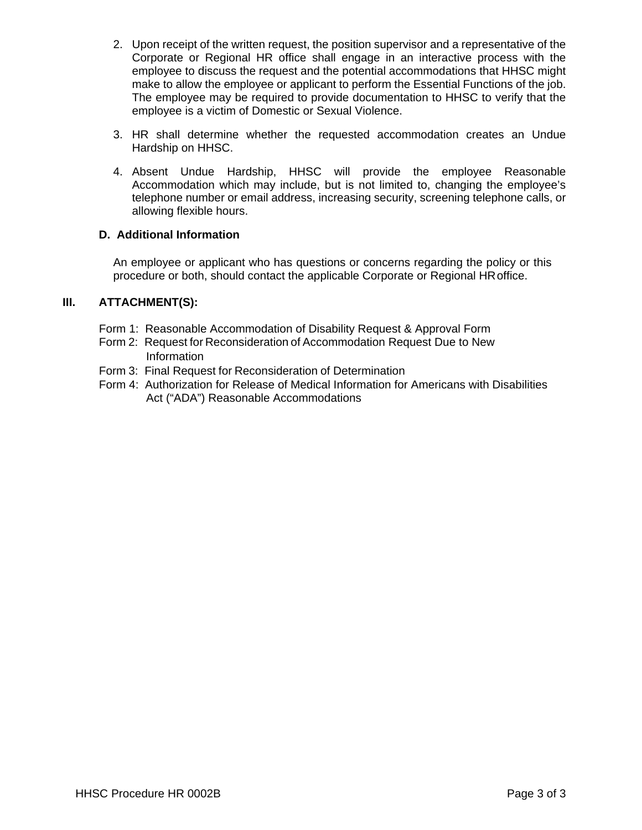- 2. Upon receipt of the written request, the position supervisor and a representative of the Corporate or Regional HR office shall engage in an interactive process with the employee to discuss the request and the potential accommodations that HHSC might make to allow the employee or applicant to perform the Essential Functions of the job. The employee may be required to provide documentation to HHSC to verify that the employee is a victim of Domestic or Sexual Violence.
- 3. HR shall determine whether the requested accommodation creates an Undue Hardship on HHSC.
- 4. Absent Undue Hardship, HHSC will provide the employee Reasonable Accommodation which may include, but is not limited to, changing the employee's telephone number or email address, increasing security, screening telephone calls, or allowing flexible hours.

## **D. Additional Information**

An employee or applicant who has questions or concerns regarding the policy or this procedure or both, should contact the applicable Corporate or Regional HRoffice.

# **III. ATTACHMENT(S):**

- Form 1: Reasonable Accommodation of Disability Request & Approval Form
- Form 2: Request for Reconsideration of Accommodation Request Due to New Information
- Form 3: Final Request for Reconsideration of Determination
- Form 4: Authorization for Release of Medical Information for Americans with Disabilities Act ("ADA") Reasonable Accommodations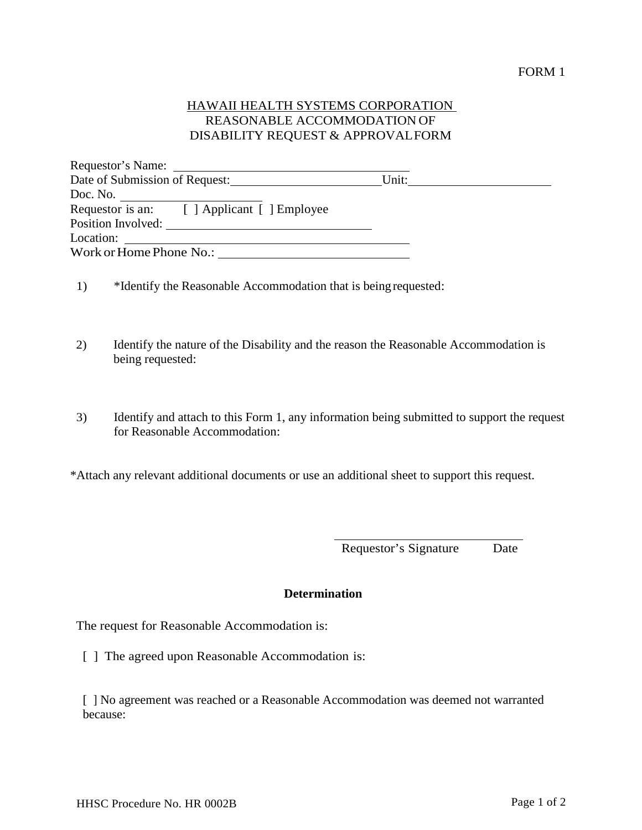# HAWAII HEALTH SYSTEMS CORPORATION REASONABLE ACCOMMODATION OF DISABILITY REQUEST & APPROVALFORM

|                         | Date of Submission of Request:              | Unit: |  |
|-------------------------|---------------------------------------------|-------|--|
| Doc. No.                |                                             |       |  |
|                         | Requestor is an: [ ] Applicant [ ] Employee |       |  |
| Position Involved:      |                                             |       |  |
| Location:               |                                             |       |  |
| Work or Home Phone No.: |                                             |       |  |

- 1) \*Identify the Reasonable Accommodation that is beingrequested:
- 2) Identify the nature of the Disability and the reason the Reasonable Accommodation is being requested:
- 3) Identify and attach to this Form 1, any information being submitted to support the request for Reasonable Accommodation:

\*Attach any relevant additional documents or use an additional sheet to support this request.

Requestor's Signature Date

## **Determination**

The request for Reasonable Accommodation is:

[ ] The agreed upon Reasonable Accommodation is:

[ ] No agreement was reached or a Reasonable Accommodation was deemed not warranted because: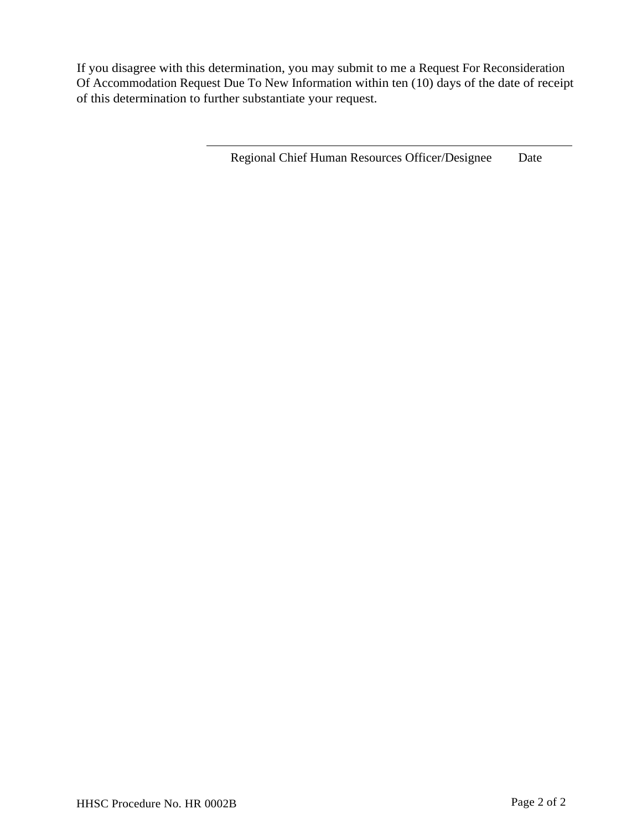If you disagree with this determination, you may submit to me a Request For Reconsideration Of Accommodation Request Due To New Information within ten (10) days of the date of receipt of this determination to further substantiate your request.

Regional Chief Human Resources Officer/Designee Date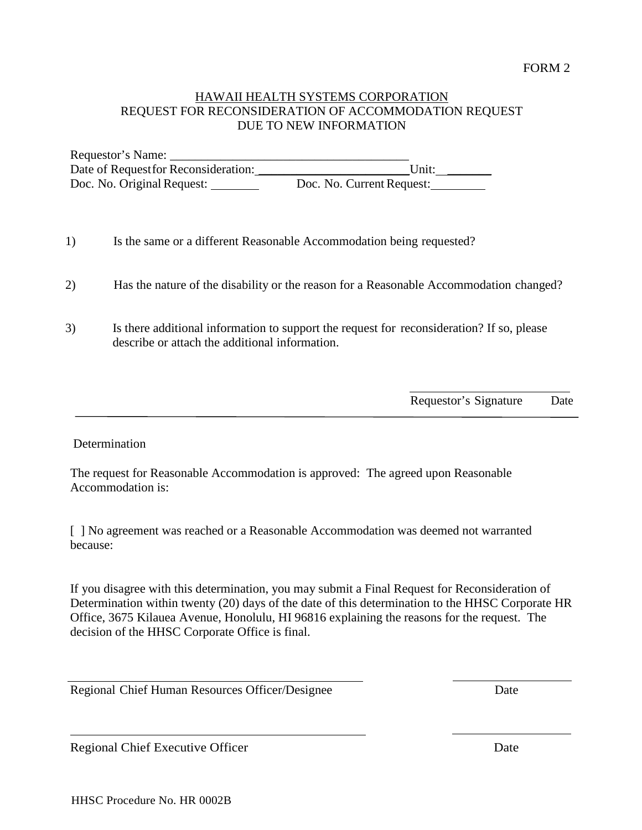## HAWAII HEALTH SYSTEMS CORPORATION REQUEST FOR RECONSIDERATION OF ACCOMMODATION REQUEST DUE TO NEW INFORMATION

Requestor's Name: \_\_\_\_\_\_\_\_\_\_\_\_\_\_\_\_\_\_\_\_\_\_\_\_\_\_\_\_\_\_\_\_\_\_\_\_\_\_ Date of Requestfor Reconsideration: Doc. No. Original Request: Doc. No. Current Request:

- 1) Is the same or a different Reasonable Accommodation being requested?
- 2) Has the nature of the disability or the reason for a Reasonable Accommodation changed?
- 3) Is there additional information to support the request for reconsideration? If so, please describe or attach the additional information.

Requestor's Signature Date

 $\overline{a}$ 

#### Determination

 The request for Reasonable Accommodation is approved: The agreed upon Reasonable Accommodation is:

[ ] No agreement was reached or a Reasonable Accommodation was deemed not warranted because:

If you disagree with this determination, you may submit a Final Request for Reconsideration of Determination within twenty (20) days of the date of this determination to the HHSC Corporate HR Office, 3675 Kilauea Avenue, Honolulu, HI 96816 explaining the reasons for the request. The decision of the HHSC Corporate Office is final.

Regional Chief Human Resources Officer/Designee Date

Regional Chief Executive Officer Date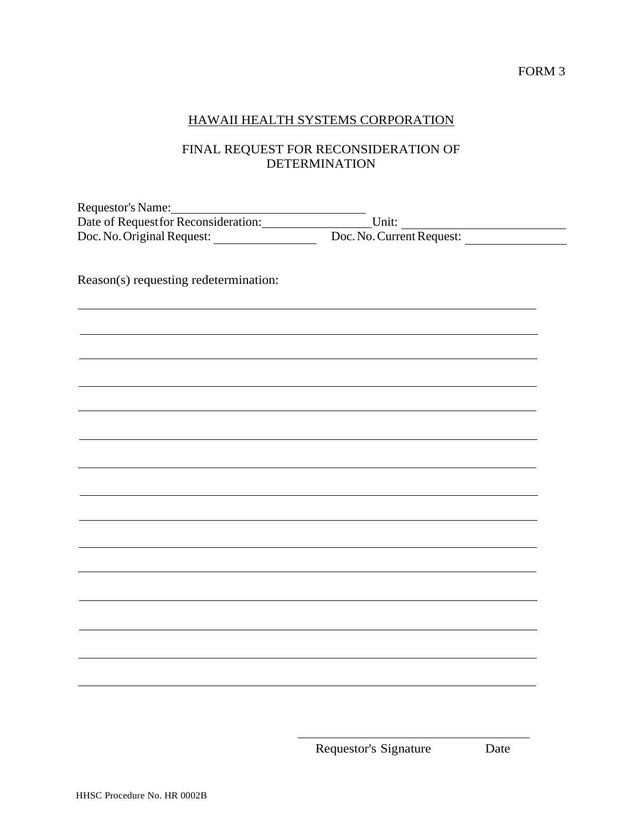# HAWAII HEALTH SYSTEMS CORPORATION

# FINAL REQUEST FOR RECONSIDERATION OF DETERMINATION

| Requestor's Name:                    |                           |  |
|--------------------------------------|---------------------------|--|
| Date of Request for Reconsideration: | Unit:                     |  |
| Doc. No. Original Request:           | Doc. No. Current Request: |  |

Reason(s) requesting redetermination:

Requestor's Signature Date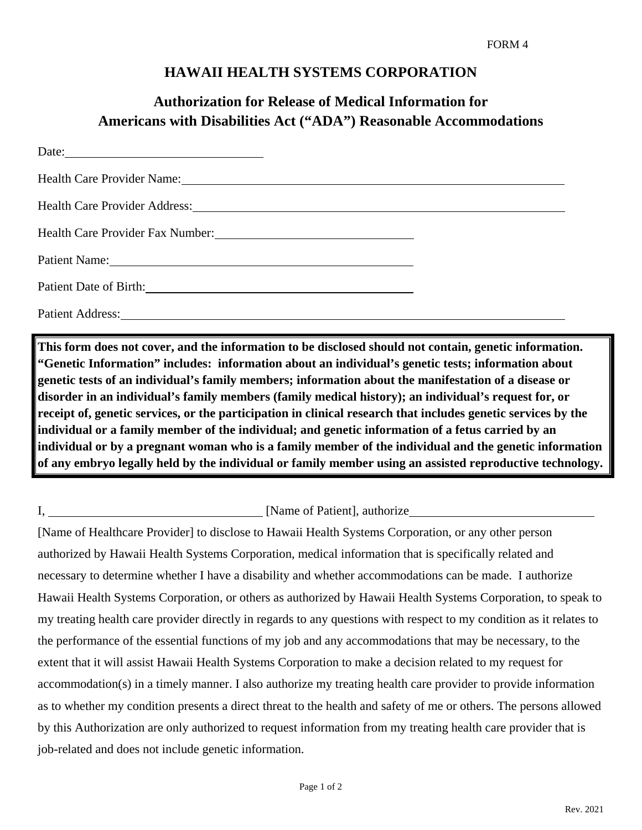# **HAWAII HEALTH SYSTEMS CORPORATION**

# **Authorization for Release of Medical Information for Americans with Disabilities Act ("ADA") Reasonable Accommodations**

| Health Care Provider Address: New York 1988 and 2008                                                                                                                                                                           |  |
|--------------------------------------------------------------------------------------------------------------------------------------------------------------------------------------------------------------------------------|--|
| Health Care Provider Fax Number:<br><u> </u>                                                                                                                                                                                   |  |
| Patient Name: 1988                                                                                                                                                                                                             |  |
| Patient Date of Birth: 2008 and 2008 and 2008 and 2008 and 2008 and 2008 and 2008 and 2008 and 2008 and 2008 and 2008 and 2008 and 2008 and 2008 and 2008 and 2008 and 2008 and 2008 and 2008 and 2008 and 2008 and 2008 and 2 |  |
| Patient Address: 2008. 2009. 2010. 2010. 2012. 2013. 2014. 2015. 2016. 2017. 2018. 2019. 2016. 2017. 2018. 201                                                                                                                 |  |

**This form does not cover, and the information to be disclosed should not contain, genetic information. "Genetic Information" includes: information about an individual's genetic tests; information about genetic tests of an individual's family members; information about the manifestation of a disease or disorder in an individual's family members (family medical history); an individual's request for, or receipt of, genetic services, or the participation in clinical research that includes genetic services by the individual or a family member of the individual; and genetic information of a fetus carried by an individual or by a pregnant woman who is a family member of the individual and the genetic information of any embryo legally held by the individual or family member using an assisted reproductive technology.**

## I, Samme of Patient, authorize is a set of Patient Dente and Security and Security 1, and  $\Gamma$

[Name of Healthcare Provider] to disclose to Hawaii Health Systems Corporation, or any other person authorized by Hawaii Health Systems Corporation, medical information that is specifically related and necessary to determine whether I have a disability and whether accommodations can be made. I authorize Hawaii Health Systems Corporation, or others as authorized by Hawaii Health Systems Corporation, to speak to my treating health care provider directly in regards to any questions with respect to my condition as it relates to the performance of the essential functions of my job and any accommodations that may be necessary, to the extent that it will assist Hawaii Health Systems Corporation to make a decision related to my request for accommodation(s) in a timely manner. I also authorize my treating health care provider to provide information as to whether my condition presents a direct threat to the health and safety of me or others. The persons allowed by this Authorization are only authorized to request information from my treating health care provider that is job-related and does not include genetic information.